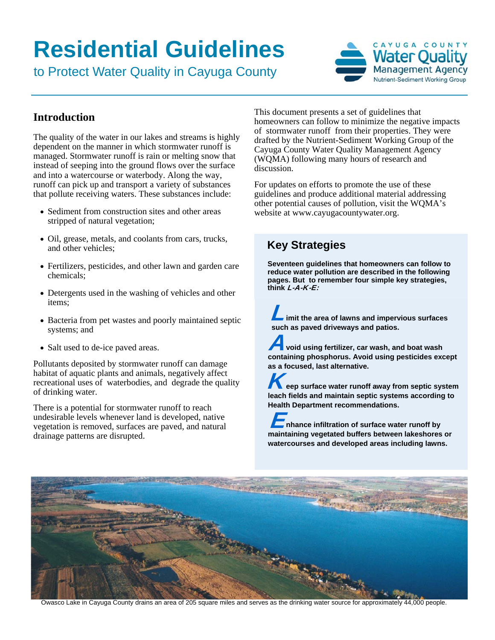# **Residential Guidelines**

to Protect Water Quality in Cayuga County



#### **Introduction**

The quality of the water in our lakes and streams is highly dependent on the manner in which stormwater runoff is managed. Stormwater runoff is rain or melting snow that instead of seeping into the ground flows over the surface and into a watercourse or waterbody. Along the way, runoff can pick up and transport a variety of substances that pollute receiving waters. These substances include:

- Sediment from construction sites and other areas stripped of natural vegetation;
- Oil, grease, metals, and coolants from cars, trucks, and other vehicles;
- Fertilizers, pesticides, and other lawn and garden care chemicals;
- Detergents used in the washing of vehicles and other items;
- Bacteria from pet wastes and poorly maintained septic systems; and
- Salt used to de-ice paved areas.

Pollutants deposited by stormwater runoff can damage habitat of aquatic plants and animals, negatively affect recreational uses of waterbodies, and degrade the quality of drinking water.

There is a potential for stormwater runoff to reach undesirable levels whenever land is developed, native vegetation is removed, surfaces are paved, and natural drainage patterns are disrupted.

This document presents a set of guidelines that homeowners can follow to minimize the negative impacts of stormwater runoff from their properties. They were drafted by the Nutrient-Sediment Working Group of the Cayuga County Water Quality Management Agency (WQMA) following many hours of research and discussion.

For updates on efforts to promote the use of these guidelines and produce additional material addressing other potential causes of pollution, visit the WQMA's website at www.cayugacountywater.org.

### **Key Strategies**

**Seventeen guidelines that homeowners can follow to reduce water pollution are described in the following pages. But to remember four simple key strategies, think** L-A-K-E:

**imit the area of lawns and impervious surfaces such as paved driveways and patios.** 

**void using fertilizer, car wash, and boat wash**  A **containing phosphorus. Avoid using pesticides except as a focused, last alternative.** 

**K**eep surface water runoff away from septic system **leach fields and maintain septic systems according to Health Department recommendations.** 

**nhance infiltration of surface water runoff by maintaining vegetated buffers between lakeshores or watercourses and developed areas including lawns.**



Owasco Lake in Cayuga County drains an area of 205 square miles and serves as the drinking water source for approximately 44,000 people.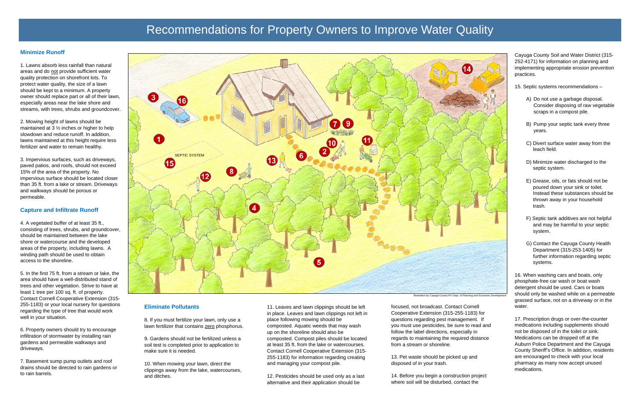#### **Minimize Runoff**

1. Lawns absorb less rainfall than natural areas and do not provide sufficient water quality protection on shorefront lots. To protect water quality, the size of a lawn should be kept to a minimum. A property owner should replace part or all of their lawn, especially areas near the lake shore and streams, with trees, shrubs and groundcover.

2. Mowing height of lawns should be maintained at 3 ½ inches or higher to help slowdown and reduce runoff. In addition, lawns maintained at this height require less fertilizer and water to remain healthy.

3. Impervious surfaces, such as driveways, paved patios, and roofs, should not exceed 15% of the area of the property. No impervious surface should be located closer than 35 ft. from a lake or stream. Driveways and walkways should be porous or permeable.

#### **Capture and Infiltrate Runoff**

4. A vegetated buffer of at least 35 ft., consisting of trees, shrubs, and groundcover, should be maintained between the lake shore or watercourse and the developed areas of the property, including lawns. A winding path should be used to obtain access to the shoreline.

5. In the first 75 ft. from a stream or lake, the area should have a well-distributed stand of trees and other vegetation. Strive to have at least 1 tree per 100 sq. ft. of property. Contact Cornell Cooperative Extension (315- 255-1183) or your local nursery for questions regarding the type of tree that would work well in your situation.

6. Property owners should try to encourage infiltration of stormwater by installing rain gardens and permeable walkways and driveways.

7. Basement sump pump outlets and roof drains should be directed to rain gardens or to rain barrels.

Cayuga County Soil and Water District (315- 252-4171) for information on planning and implementing appropriate erosion prevention practices.

15. Septic systems recommendations –

- A) Do not use a garbage disposal. Consider disposing of raw vegetable scraps in a compost pile.
- B) Pump your septic tank every three years.
- C) Divert surface water away from the leach field.
- D) Minimize water discharged to the septic system.
- E) Grease, oils, or fats should not be poured down your sink or toilet. Instead these substances should be thrown away in your household trash.
- F) Septic tank additives are not helpful and may be harmful to your septic system.
- G) Contact the Cayuga County Health Department (315-253-1405) for further information regarding septic systems.

16. When washing cars and boats, only phosphate-free car wash or boat wash detergent should be used. Cars or boats should only be washed while on a permeable grassed surface, not on a driveway or in the water.

17. Prescription drugs or over-the-counter medications including supplements should not be disposed of in the toilet or sink. Medications can be dropped off at the Auburn Police Department and the Cayuga County Sheriff's Office. In addition, residents are encouraged to check with your local pharmacy as many now accept unused medications.

#### **Eliminate Pollutants**

8. If you must fertilize your lawn, only use a lawn fertilizer that contains zero phosphorus.

9. Gardens should not be fertilized unless a soil test is completed prior to application to make sure it is needed.

10. When mowing your lawn, direct the clippings away from the lake, watercourses, and ditches.

11. Leaves and lawn clippings should be left in place. Leaves and lawn clippings not left in place following mowing should be composted. Aquatic weeds that may wash up on the shoreline should also be composted. Compost piles should be located at least 35 ft. from the lake or watercourses. Contact Cornell Cooperative Extension (315- 255-1183) for information regarding creating and managing your compost pile.

12. Pesticides should be used only as a last alternative and their application should be

focused, not broadcast. Contact Cornell Cooperative Extension (315-255-1183) for questions regarding pest management. If you must use pesticides, be sure to read and follow the label directions, especially in regards to maintaining the required distance from a stream or shoreline.

13. Pet waste should be picked up and disposed of in your trash.

14. Before you begin a construction project where soil will be disturbed, contact the

## Recommendations for Property Owners to Improve Water Quality